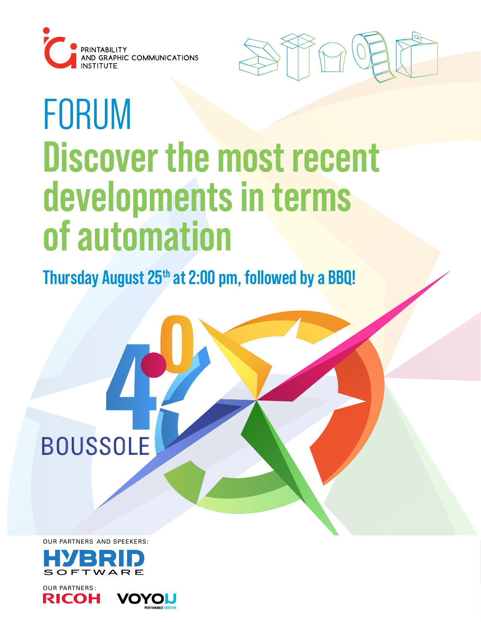



# FORUM **Discover the most recent developments in terms of automation**

**Thursday August 25th at 2:00 pm, followed by a BBQ!**

OUR PARTNERS AND SPEEKERS:

**BOUSSOLE** 



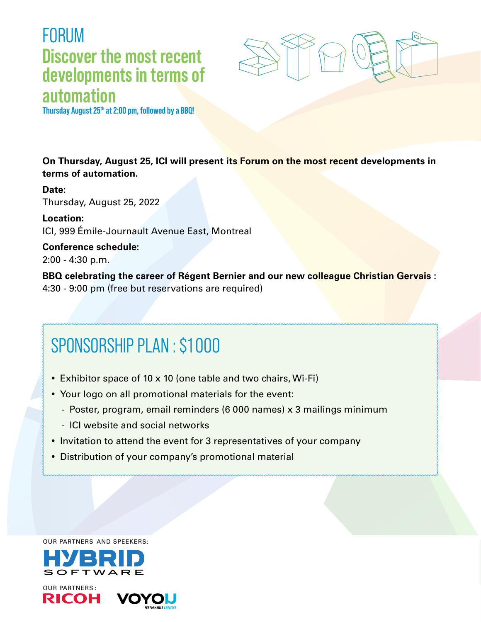### FORUM **Discover the most recent developments in terms of automation**



**Thursday August 25th at 2:00 pm, followed by a BBQ!**

**On Thursday, August 25, ICI will present its Forum on the most recent developments in terms of automation.**

**Date:**  Thursday, August 25, 2022

**Location:**  ICI, 999 Émile-Journault Avenue East, Montreal

**Conference schedule:**  2:00 - 4:30 p.m.

**BBQ celebrating the career of Régent Bernier and our new colleague Christian Gervais :**  4:30 - 9:00 pm (free but reservations are required)

# SPONSORSHIP PLAN : \$1 000

- Exhibitor space of 10 x 10 (one table and two chairs, Wi-Fi)
- Your logo on all promotional materials for the event:
	- Poster, program, email reminders (6 000 names) x 3 mailings minimum
	- ICI website and social networks
- Invitation to attend the event for 3 representatives of your company
- Distribution of your company's promotional material

OUR PARTNERS AND SPEEKERS: